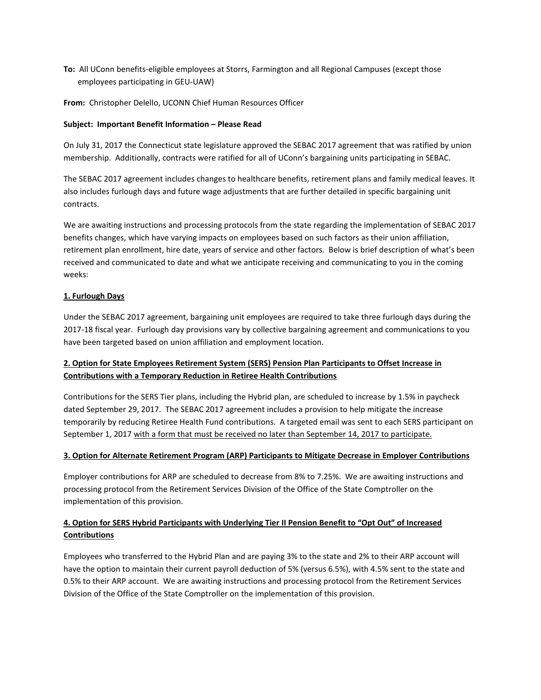**To:** All UConn benefits-eligible employees at Storrs, Farmington and all Regional Campuses (except those employees participating in GEU-UAW)

**From:** Christopher Delello, UCONN Chief Human Resources Officer

#### **Subject: Important Benefit Information – Please Read**

On July 31, 2017 the Connecticut state legislature approved the SEBAC 2017 agreement that was ratified by union membership. Additionally, contracts were ratified for all of UConn's bargaining units participating in SEBAC.

The SEBAC 2017 agreement includes changes to healthcare benefits, retirement plans and family medical leaves. It also includes furlough days and future wage adjustments that are further detailed in specific bargaining unit contracts.

We are awaiting instructions and processing protocols from the state regarding the implementation of SEBAC 2017 benefits changes, which have varying impacts on employees based on such factors as their union affiliation, retirement plan enrollment, hire date, years of service and other factors. Below is brief description of what's been received and communicated to date and what we anticipate receiving and communicating to you in the coming weeks:

### **1. Furlough Days**

Under the SEBAC 2017 agreement, bargaining unit employees are required to take three furlough days during the 2017-18 fiscal year. Furlough day provisions vary by collective bargaining agreement and communications to you have been targeted based on union affiliation and employment location.

## **2. Option for State Employees Retirement System (SERS) Pension Plan Participants to Offset Increase in Contributions with a Temporary Reduction in Retiree Health Contributions**

Contributions for the SERS Tier plans, including the Hybrid plan, are scheduled to increase by 1.5% in paycheck dated September 29, 2017. The SEBAC 2017 agreement includes a provision to help mitigate the increase temporarily by reducing Retiree Health Fund contributions. A targeted email was sent to each SERS participant on September 1, 2017 with a form that must be received no later than September 14, 2017 to participate.

### **3. Option for Alternate Retirement Program (ARP) Participants to Mitigate Decrease in Employer Contributions**

Employer contributions for ARP are scheduled to decrease from 8% to 7.25%. We are awaiting instructions and processing protocol from the Retirement Services Division of the Office of the State Comptroller on the implementation of this provision.

# **4. Option for SERS Hybrid Participants with Underlying Tier II Pension Benefit to "Opt Out" of Increased Contributions**

Employees who transferred to the Hybrid Plan and are paying 3% to the state and 2% to their ARP account will have the option to maintain their current payroll deduction of 5% (versus 6.5%), with 4.5% sent to the state and 0.5% to their ARP account. We are awaiting instructions and processing protocol from the Retirement Services Division of the Office of the State Comptroller on the implementation of this provision.